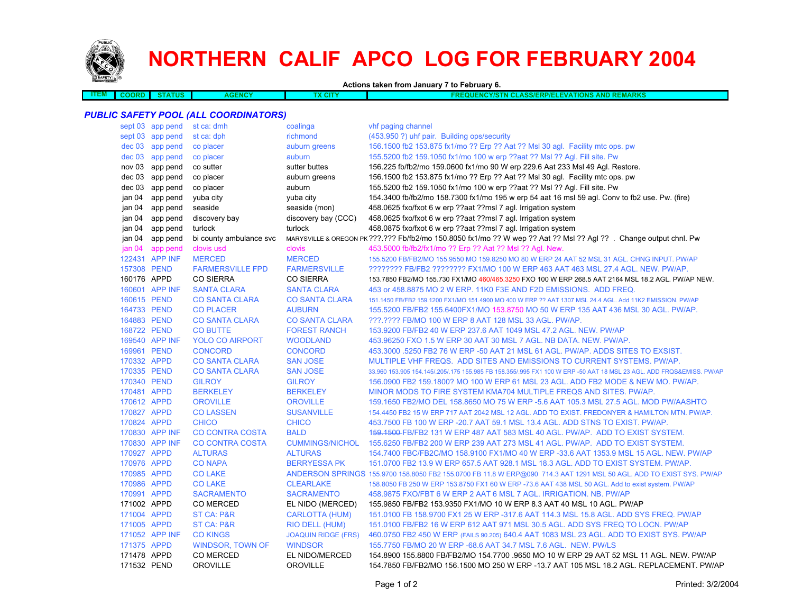

## **NORTHERN CALIF APCO LOG FOR FEBRUARY 2004**

**Actions taken from January 7 to February 6.**

| <b>ITEM</b>                           | <b>COORD</b> | <b>STATUS</b>    | <b>AGENCY</b>           | TX CITY                    | FREQUENCY/STN CLASS/ERP/ELEVATIONS AND REMARKS                                                                       |  |  |  |  |
|---------------------------------------|--------------|------------------|-------------------------|----------------------------|----------------------------------------------------------------------------------------------------------------------|--|--|--|--|
|                                       |              |                  |                         |                            |                                                                                                                      |  |  |  |  |
| PUBLIC SAFETY POOL (ALL COORDINATORS) |              |                  |                         |                            |                                                                                                                      |  |  |  |  |
|                                       |              | sept 03 app pend | st ca: dmh              | coalinga                   | vhf paging channel                                                                                                   |  |  |  |  |
|                                       |              | sept 03 app pend | st ca: dph              | richmond                   | (453.950 ?) uhf pair. Building ops/security                                                                          |  |  |  |  |
|                                       |              | dec 03 app pend  | co placer               | auburn greens              | 156.1500 fb2 153.875 fx1/mo ?? Erp ?? Aat ?? Msl 30 agl. Facility mtc ops. pw                                        |  |  |  |  |
|                                       |              | dec 03 app pend  | co placer               | auburn                     | 155.5200 fb2 159.1050 fx1/mo 100 w erp ??aat ?? Msl ?? Agl. Fill site. Pw                                            |  |  |  |  |
|                                       |              | nov 03 app pend  | co sutter               | sutter buttes              | 156.225 fb/fb2/mo 159.0600 fx1/mo 90 W erp 229.6 Aat 233 MsI 49 AgI. Restore.                                        |  |  |  |  |
|                                       |              | dec 03 app pend  | co placer               | auburn greens              | 156.1500 fb2 153.875 fx1/mo ?? Erp ?? Aat ?? Msl 30 agl. Facility mtc ops. pw                                        |  |  |  |  |
|                                       |              | dec 03 app pend  | co placer               | auburn                     | 155.5200 fb2 159.1050 fx1/mo 100 w erp ??aat ?? Msl ?? Agl. Fill site. Pw                                            |  |  |  |  |
|                                       | jan 04       | app pend         | yuba city               | yuba city                  | 154.3400 fb/fb2/mo 158.7300 fx1/mo 195 w erp 54 aat 16 msl 59 agl. Conv to fb2 use. Pw. (fire)                       |  |  |  |  |
|                                       | jan 04       | app pend         | seaside                 | seaside (mon)              | 458.0625 fxo/fxot 6 w erp ??aat ??msl 7 agl. Irrigation system                                                       |  |  |  |  |
|                                       | jan 04       | app pend         | discovery bay           | discovery bay (CCC)        | 458.0625 fxo/fxot 6 w erp ??aat ??msl 7 agl. Irrigation system                                                       |  |  |  |  |
|                                       | jan 04       | app pend         | turlock                 | turlock                    | 458.0875 fxo/fxot 6 w erp ??aat ??msl 7 agl. Irrigation system                                                       |  |  |  |  |
|                                       | jan 04       | app pend         | bi county ambulance svc |                            | MARYSVILLE & OREGON PK ???.??? Fb/fb2/mo 150.8050 fx1/mo ?? W wep ?? Aat ?? Msl ?? Agl ?? . Change output chnl. Pw   |  |  |  |  |
|                                       | jan 04       | app pend         | clovis usd              | clovis                     | 453.5000 fb/fb2/fx1/mo ?? Erp ?? Aat ?? Msl ?? Agl. New.                                                             |  |  |  |  |
|                                       |              | 122431 APP INF   | <b>MERCED</b>           | <b>MERCED</b>              | 155.5200 FB/FB2/MO 155.9550 MO 159.8250 MO 80 W ERP 24 AAT 52 MSL 31 AGL. CHNG INPUT. PW/AP                          |  |  |  |  |
|                                       | 157308 PEND  |                  | <b>FARMERSVILLE FPD</b> | <b>FARMERSVILLE</b>        | ???????? FB/FB2 ???????? FX1/MO 100 W ERP 463 AAT 463 MSL 27.4 AGL. NEW. PW/AP.                                      |  |  |  |  |
|                                       | 160176 APPD  |                  | <b>CO SIERRA</b>        | <b>CO SIERRA</b>           | 153.7850 FB2/MO 155.730 FX1/MO 460/465.3250 FXO 100 W ERP 268.5 AAT 2164 MSL 18.2 AGL. PW/AP NEW.                    |  |  |  |  |
|                                       |              | 160601 APP INF   | <b>SANTA CLARA</b>      | <b>SANTA CLARA</b>         | 453 or 458.8875 MO 2 W ERP. 11K0 F3E AND F2D EMISSIONS. ADD FREQ.                                                    |  |  |  |  |
|                                       | 160615 PEND  |                  | <b>CO SANTA CLARA</b>   | <b>CO SANTA CLARA</b>      | 151.1450 FB/FB2 159.1200 FX1/MO 151.4900 MO 400 W ERP ?? AAT 1307 MSL 24.4 AGL. Add 11K2 EMISSION. PW/AP             |  |  |  |  |
|                                       | 164733 PEND  |                  | <b>CO PLACER</b>        | <b>AUBURN</b>              | 155.5200 FB/FB2 155.6400FX1/MO 153.8750 MO 50 W ERP 135 AAT 436 MSL 30 AGL. PW/AP.                                   |  |  |  |  |
|                                       | 164883 PEND  |                  | <b>CO SANTA CLARA</b>   | <b>CO SANTA CLARA</b>      | ???.???? FB/MO 100 W ERP 8 AAT 128 MSL 33 AGL. PW/AP.                                                                |  |  |  |  |
|                                       | 168722 PEND  |                  | <b>CO BUTTE</b>         | <b>FOREST RANCH</b>        | 153.9200 FB/FB2 40 W ERP 237.6 AAT 1049 MSL 47.2 AGL. NEW. PW/AP                                                     |  |  |  |  |
|                                       |              | 169540 APP INF   | <b>YOLO CO AIRPORT</b>  | <b>WOODLAND</b>            | 453.96250 FXO 1.5 W ERP 30 AAT 30 MSL 7 AGL. NB DATA. NEW. PW/AP.                                                    |  |  |  |  |
|                                       | 169961 PEND  |                  | <b>CONCORD</b>          | <b>CONCORD</b>             | 453.3000 .5250 FB2 76 W ERP -50 AAT 21 MSL 61 AGL. PW/AP. ADDS SITES TO EXSIST.                                      |  |  |  |  |
|                                       | 170332 APPD  |                  | <b>CO SANTA CLARA</b>   | <b>SAN JOSE</b>            | MULTIPLE VHF FREQS. ADD SITES AND EMISSIONS TO CURRENT SYSTEMS. PW/AP.                                               |  |  |  |  |
|                                       | 170335 PEND  |                  | <b>CO SANTA CLARA</b>   | <b>SAN JOSE</b>            | 33.960 153.905 154.145/.205/.175 155.985 FB 158.355/.995 FX1 100 W ERP -50 AAT 18 MSL 23 AGL. ADD FRQS&EMISS. PW/AP  |  |  |  |  |
|                                       | 170340 PEND  |                  | <b>GILROY</b>           | <b>GILROY</b>              | 156,0900 FB2 159,1800? MO 100 W ERP 61 MSL 23 AGL. ADD FB2 MODE & NEW MO. PW/AP.                                     |  |  |  |  |
|                                       | 170481 APPD  |                  | <b>BERKELEY</b>         | <b>BERKELEY</b>            | MINOR MODS TO FIRE SYSTEM KMA704 MULTIPLE FREQS AND SITES. PW/AP.                                                    |  |  |  |  |
|                                       | 170612 APPD  |                  | <b>OROVILLE</b>         | <b>OROVILLE</b>            | 159.1650 FB2/MO DEL 158.8650 MO 75 W ERP -5.6 AAT 105.3 MSL 27.5 AGL. MOD PW/AASHTO                                  |  |  |  |  |
|                                       | 170827 APPD  |                  | <b>CO LASSEN</b>        | <b>SUSANVILLE</b>          | 154.4450 FB2 15 W ERP 717 AAT 2042 MSL 12 AGL. ADD TO EXIST. FREDONYER & HAMILTON MTN. PW/AP.                        |  |  |  |  |
|                                       | 170824 APPD  |                  | <b>CHICO</b>            | <b>CHICO</b>               | 453.7500 FB 100 W ERP - 20.7 AAT 59.1 MSL 13.4 AGL. ADD STNS TO EXIST. PW/AP.                                        |  |  |  |  |
|                                       |              | 170830 APP INF   | <b>CO CONTRA COSTA</b>  | <b>BALD</b>                | 159.1500-FB/FB2 131 W ERP 487 AAT 583 MSL 40 AGL. PW/AP. ADD TO EXIST SYSTEM.                                        |  |  |  |  |
|                                       |              | 170830 APP INF   | <b>CO CONTRA COSTA</b>  | <b>CUMMINGS/NICHOL</b>     | 155.6250 FB/FB2 200 W ERP 239 AAT 273 MSL 41 AGL. PW/AP. ADD TO EXIST SYSTEM.                                        |  |  |  |  |
|                                       | 170927 APPD  |                  | <b>ALTURAS</b>          | <b>ALTURAS</b>             | 154.7400 FBC/FB2C/MO 158.9100 FX1/MO 40 W ERP -33.6 AAT 1353.9 MSL 15 AGL. NEW. PW/AP                                |  |  |  |  |
|                                       | 170976 APPD  |                  | <b>CO NAPA</b>          | <b>BERRYESSA PK</b>        | 151.0700 FB2 13.9 W ERP 657.5 AAT 928.1 MSL 18.3 AGL. ADD TO EXIST SYSTEM. PW/AP.                                    |  |  |  |  |
|                                       | 170985 APPD  |                  | <b>CO LAKE</b>          |                            | ANDERSON SPRINGS 155.9700 158.8050 FB2 155.0700 FB 11.8 W ERP@090 714.3 AAT 1291 MSL 50 AGL. ADD TO EXIST SYS. PW/AP |  |  |  |  |
|                                       | 170986 APPD  |                  | <b>CO LAKE</b>          | <b>CLEARLAKE</b>           | 158.8050 FB 250 W ERP 153.8750 FX1 60 W ERP -73.6 AAT 438 MSL 50 AGL. Add to exist system. PW/AP                     |  |  |  |  |
|                                       | 170991 APPD  |                  | <b>SACRAMENTO</b>       | <b>SACRAMENTO</b>          | 458.9875 FXO/FBT 6 W ERP 2 AAT 6 MSL 7 AGL. IRRIGATION. NB. PW/AP                                                    |  |  |  |  |
|                                       | 171002 APPD  |                  | <b>CO MERCED</b>        | EL NIDO (MERCED)           | 155.9850 FB/FB2 153.9350 FX1/MO 10 W ERP 8.3 AAT 40 MSL 10 AGL. PW/AP                                                |  |  |  |  |
|                                       | 171004 APPD  |                  | <b>ST CA: P&amp;R</b>   | <b>CARLOTTA (HUM)</b>      | 151.0100 FB 158.9700 FX1 25 W ERP -317.6 AAT 114.3 MSL 15.8 AGL. ADD SYS FREQ. PW/AP                                 |  |  |  |  |
|                                       | 171005 APPD  |                  | ST CA: P&R              | RIO DELL (HUM)             | 151.0100 FB/FB2 16 W ERP 612 AAT 971 MSL 30.5 AGL. ADD SYS FREQ TO LOCN. PW/AP                                       |  |  |  |  |
|                                       |              | 171052 APP INF   | <b>CO KINGS</b>         | <b>JOAQUIN RIDGE (FRS)</b> | 460.0750 FB2 450 W ERP (FAILS 90.205) 640.4 AAT 1083 MSL 23 AGL. ADD TO EXIST SYS. PW/AP                             |  |  |  |  |
|                                       | 171375 APPD  |                  | <b>WINDSOR, TOWN OF</b> | <b>WINDSOR</b>             | 155.7750 FB/MO 20 W ERP -68.6 AAT 34.7 MSL 7.6 AGL. NEW. PW/LS                                                       |  |  |  |  |
|                                       | 171478 APPD  |                  | <b>CO MERCED</b>        | EL NIDO/MERCED             | 154.8900 155.8800 FB/FB2/MO 154.7700 .9650 MO 10 W ERP 29 AAT 52 MSL 11 AGL. NEW. PW/AP                              |  |  |  |  |
|                                       | 171532 PEND  |                  | <b>OROVILLE</b>         | <b>OROVILLE</b>            | 154.7850 FB/FB2/MO 156.1500 MO 250 W ERP -13.7 AAT 105 MSL 18.2 AGL. REPLACEMENT. PW/AP                              |  |  |  |  |